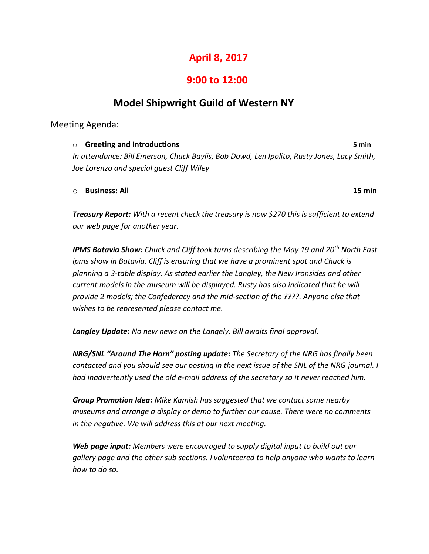# **April 8, 2017**

### **9:00 to 12:00**

## **Model Shipwright Guild of Western NY**

Meeting Agenda:

o **Greeting and Introductions 5 min** *In attendance: Bill Emerson, Chuck Baylis, Bob Dowd, Len Ipolito, Rusty Jones, Lacy Smith, Joe Lorenzo and special guest Cliff Wiley*

o **Business: All 15 min**

*Treasury Report: With a recent check the treasury is now \$270 this is sufficient to extend our web page for another year.*

*IPMS Batavia Show: Chuck and Cliff took turns describing the May 19 and 20th North East ipms show in Batavia. Cliff is ensuring that we have a prominent spot and Chuck is planning a 3-table display. As stated earlier the Langley, the New Ironsides and other current models in the museum will be displayed. Rusty has also indicated that he will provide 2 models; the Confederacy and the mid-section of the ????. Anyone else that wishes to be represented please contact me.*

*Langley Update: No new news on the Langely. Bill awaits final approval.*

*NRG/SNL "Around The Horn" posting update: The Secretary of the NRG has finally been contacted and you should see our posting in the next issue of the SNL of the NRG journal. I had inadvertently used the old e-mail address of the secretary so it never reached him.*

*Group Promotion Idea: Mike Kamish has suggested that we contact some nearby museums and arrange a display or demo to further our cause. There were no comments in the negative. We will address this at our next meeting.*

*Web page input: Members were encouraged to supply digital input to build out our gallery page and the other sub sections. I volunteered to help anyone who wants to learn how to do so.*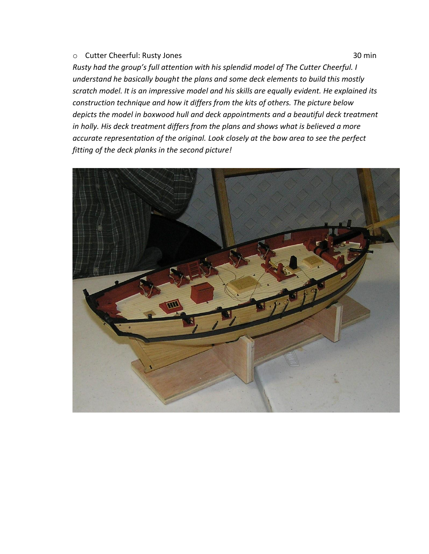#### o Cutter Cheerful: Rusty Jones 30 min

*Rusty had the group's full attention with his splendid model of The Cutter Cheerful. I understand he basically bought the plans and some deck elements to build this mostly scratch model. It is an impressive model and his skills are equally evident. He explained its construction technique and how it differs from the kits of others. The picture below depicts the model in boxwood hull and deck appointments and a beautiful deck treatment in holly. His deck treatment differs from the plans and shows what is believed a more accurate representation of the original. Look closely at the bow area to see the perfect fitting of the deck planks in the second picture!*

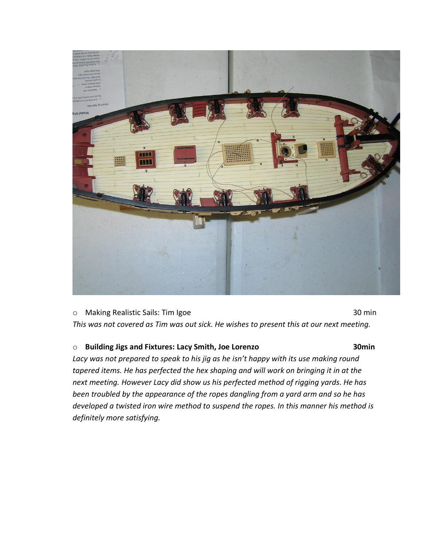

o Making Realistic Sails: Tim Igoe 30 min *This was not covered as Tim was out sick. He wishes to present this at our next meeting.*

#### o **Building Jigs and Fixtures: Lacy Smith, Joe Lorenzo 30min**

*Lacy was not prepared to speak to his jig as he isn't happy with its use making round tapered items. He has perfected the hex shaping and will work on bringing it in at the next meeting. However Lacy did show us his perfected method of rigging yards. He has been troubled by the appearance of the ropes dangling from a yard arm and so he has developed a twisted iron wire method to suspend the ropes. In this manner his method is definitely more satisfying.*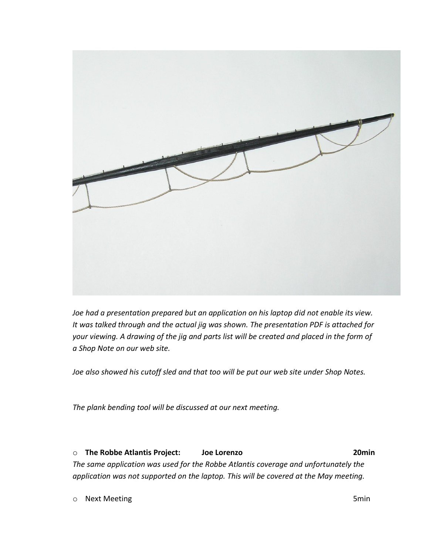

*Joe had a presentation prepared but an application on his laptop did not enable its view. It was talked through and the actual jig was shown. The presentation PDF is attached for your viewing. A drawing of the jig and parts list will be created and placed in the form of a Shop Note on our web site.*

*Joe also showed his cutoff sled and that too will be put our web site under Shop Notes.*

*The plank bending tool will be discussed at our next meeting.*

o **The Robbe Atlantis Project: Joe Lorenzo 20min** *The same application was used for the Robbe Atlantis coverage and unfortunately the application was not supported on the laptop. This will be covered at the May meeting.*

o Next Meeting 5min